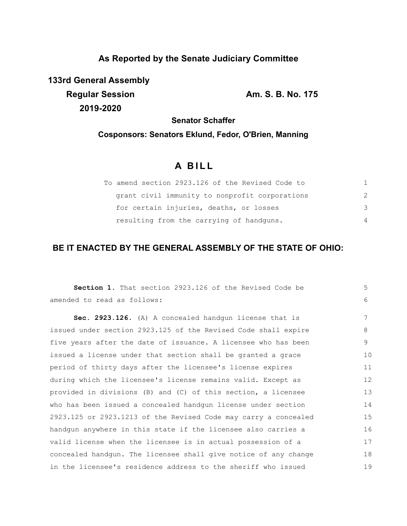# **As Reported by the Senate Judiciary Committee**

**133rd General Assembly Regular Session Am. S. B. No. 175 2019-2020**

**Senator Schaffer**

# **Cosponsors: Senators Eklund, Fedor, O'Brien, Manning**

# **A B I L L**

| To amend section 2923.126 of the Revised Code to |               |
|--------------------------------------------------|---------------|
| grant civil immunity to nonprofit corporations   | $\mathcal{P}$ |
| for certain injuries, deaths, or losses          | 3             |
| resulting from the carrying of handguns.         | 4             |

## **BE IT ENACTED BY THE GENERAL ASSEMBLY OF THE STATE OF OHIO:**

| Section 1. That section 2923.126 of the Revised Code be         | 5  |
|-----------------------------------------------------------------|----|
| amended to read as follows:                                     | 6  |
| Sec. 2923.126. (A) A concealed handgun license that is          | 7  |
| issued under section 2923.125 of the Revised Code shall expire  | 8  |
| five years after the date of issuance. A licensee who has been  | 9  |
| issued a license under that section shall be granted a grace    | 10 |
| period of thirty days after the licensee's license expires      | 11 |
| during which the licensee's license remains valid. Except as    | 12 |
| provided in divisions (B) and (C) of this section, a licensee   | 13 |
| who has been issued a concealed handqun license under section   | 14 |
| 2923.125 or 2923.1213 of the Revised Code may carry a concealed | 15 |
| handqun anywhere in this state if the licensee also carries a   | 16 |
| valid license when the licensee is in actual possession of a    | 17 |
| concealed handgun. The licensee shall give notice of any change | 18 |
| in the licensee's residence address to the sheriff who issued   | 19 |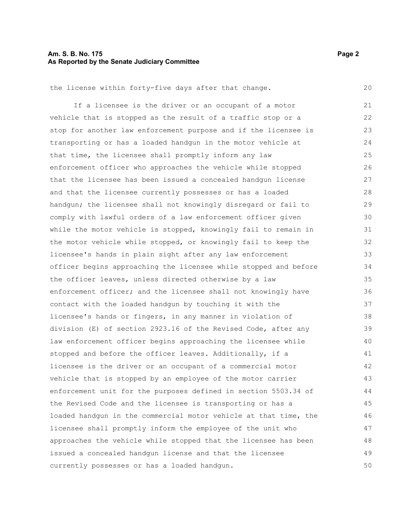#### **Am. S. B. No. 175 Page 2 As Reported by the Senate Judiciary Committee**

the license within forty-five days after that change.

If a licensee is the driver or an occupant of a motor vehicle that is stopped as the result of a traffic stop or a stop for another law enforcement purpose and if the licensee is transporting or has a loaded handgun in the motor vehicle at that time, the licensee shall promptly inform any law enforcement officer who approaches the vehicle while stopped that the licensee has been issued a concealed handgun license and that the licensee currently possesses or has a loaded handgun; the licensee shall not knowingly disregard or fail to comply with lawful orders of a law enforcement officer given while the motor vehicle is stopped, knowingly fail to remain in the motor vehicle while stopped, or knowingly fail to keep the licensee's hands in plain sight after any law enforcement officer begins approaching the licensee while stopped and before the officer leaves, unless directed otherwise by a law enforcement officer; and the licensee shall not knowingly have contact with the loaded handgun by touching it with the licensee's hands or fingers, in any manner in violation of division (E) of section 2923.16 of the Revised Code, after any law enforcement officer begins approaching the licensee while stopped and before the officer leaves. Additionally, if a licensee is the driver or an occupant of a commercial motor vehicle that is stopped by an employee of the motor carrier enforcement unit for the purposes defined in section 5503.34 of the Revised Code and the licensee is transporting or has a loaded handgun in the commercial motor vehicle at that time, the licensee shall promptly inform the employee of the unit who approaches the vehicle while stopped that the licensee has been issued a concealed handgun license and that the licensee currently possesses or has a loaded handgun. 21 22 23 24 25 26 27 28 29 30 31 32 33 34 35 36 37 38 39 40 41 42 43 44 45 46 47 48 49 50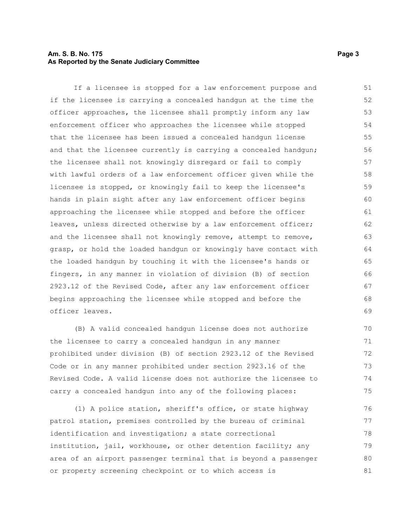#### **Am. S. B. No. 175 Page 3 As Reported by the Senate Judiciary Committee**

If a licensee is stopped for a law enforcement purpose and if the licensee is carrying a concealed handgun at the time the officer approaches, the licensee shall promptly inform any law enforcement officer who approaches the licensee while stopped that the licensee has been issued a concealed handgun license and that the licensee currently is carrying a concealed handgun; the licensee shall not knowingly disregard or fail to comply with lawful orders of a law enforcement officer given while the licensee is stopped, or knowingly fail to keep the licensee's hands in plain sight after any law enforcement officer begins approaching the licensee while stopped and before the officer leaves, unless directed otherwise by a law enforcement officer; and the licensee shall not knowingly remove, attempt to remove, grasp, or hold the loaded handgun or knowingly have contact with the loaded handgun by touching it with the licensee's hands or fingers, in any manner in violation of division (B) of section 2923.12 of the Revised Code, after any law enforcement officer begins approaching the licensee while stopped and before the officer leaves. 51 52 53 54 55 56 57 58 59 60 61 62 63 64 65 66 67 68 69

(B) A valid concealed handgun license does not authorize the licensee to carry a concealed handgun in any manner prohibited under division (B) of section 2923.12 of the Revised Code or in any manner prohibited under section 2923.16 of the Revised Code. A valid license does not authorize the licensee to carry a concealed handgun into any of the following places: 70 71 72 73 74 75

(1) A police station, sheriff's office, or state highway patrol station, premises controlled by the bureau of criminal identification and investigation; a state correctional institution, jail, workhouse, or other detention facility; any area of an airport passenger terminal that is beyond a passenger or property screening checkpoint or to which access is 76 77 78 79 80 81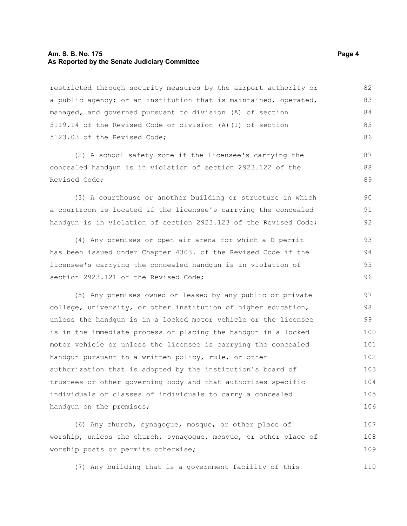#### **Am. S. B. No. 175 Page 4 As Reported by the Senate Judiciary Committee**

restricted through security measures by the airport authority or a public agency; or an institution that is maintained, operated, managed, and governed pursuant to division (A) of section 5119.14 of the Revised Code or division (A)(1) of section 5123.03 of the Revised Code; 82 83 84 85 86

(2) A school safety zone if the licensee's carrying the concealed handgun is in violation of section 2923.122 of the Revised Code;

(3) A courthouse or another building or structure in which a courtroom is located if the licensee's carrying the concealed handgun is in violation of section 2923.123 of the Revised Code;

(4) Any premises or open air arena for which a D permit has been issued under Chapter 4303. of the Revised Code if the licensee's carrying the concealed handgun is in violation of section 2923.121 of the Revised Code;

(5) Any premises owned or leased by any public or private college, university, or other institution of higher education, unless the handgun is in a locked motor vehicle or the licensee is in the immediate process of placing the handgun in a locked motor vehicle or unless the licensee is carrying the concealed handgun pursuant to a written policy, rule, or other authorization that is adopted by the institution's board of trustees or other governing body and that authorizes specific individuals or classes of individuals to carry a concealed handgun on the premises; 97 98 99 100 101 102 103 104 105 106

(6) Any church, synagogue, mosque, or other place of worship, unless the church, synagogue, mosque, or other place of worship posts or permits otherwise; 107 108 109

(7) Any building that is a government facility of this

87 88 89

90 91 92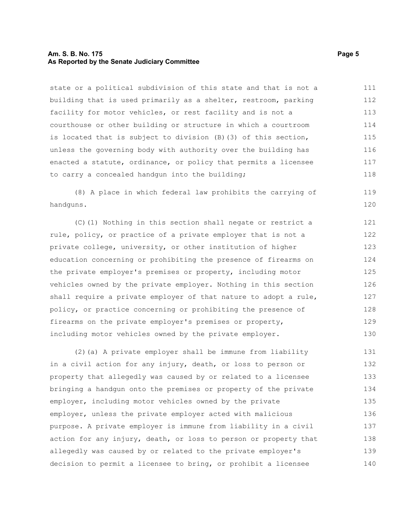#### **Am. S. B. No. 175 Page 5 As Reported by the Senate Judiciary Committee**

state or a political subdivision of this state and that is not a building that is used primarily as a shelter, restroom, parking facility for motor vehicles, or rest facility and is not a courthouse or other building or structure in which a courtroom is located that is subject to division (B)(3) of this section, unless the governing body with authority over the building has enacted a statute, ordinance, or policy that permits a licensee to carry a concealed handgun into the building; 111 112 113 114 115 116 117 118

(8) A place in which federal law prohibits the carrying of handguns.

(C)(1) Nothing in this section shall negate or restrict a rule, policy, or practice of a private employer that is not a private college, university, or other institution of higher education concerning or prohibiting the presence of firearms on the private employer's premises or property, including motor vehicles owned by the private employer. Nothing in this section shall require a private employer of that nature to adopt a rule, policy, or practice concerning or prohibiting the presence of firearms on the private employer's premises or property, including motor vehicles owned by the private employer. 121 122 123 124 125 126 127 128 129 130

(2)(a) A private employer shall be immune from liability in a civil action for any injury, death, or loss to person or property that allegedly was caused by or related to a licensee bringing a handgun onto the premises or property of the private employer, including motor vehicles owned by the private employer, unless the private employer acted with malicious purpose. A private employer is immune from liability in a civil action for any injury, death, or loss to person or property that allegedly was caused by or related to the private employer's decision to permit a licensee to bring, or prohibit a licensee 131 132 133 134 135 136 137 138 139 140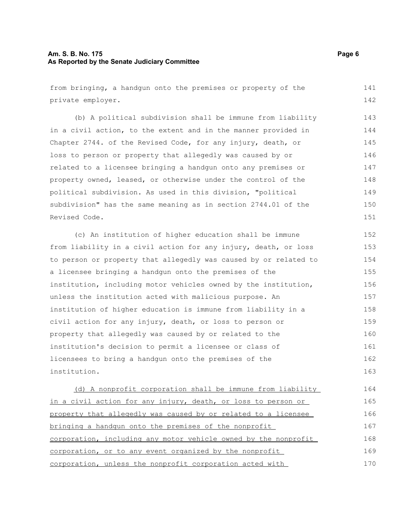#### **Am. S. B. No. 175 Page 6 As Reported by the Senate Judiciary Committee**

from bringing, a handgun onto the premises or property of the private employer. 141 142

(b) A political subdivision shall be immune from liability in a civil action, to the extent and in the manner provided in Chapter 2744. of the Revised Code, for any injury, death, or loss to person or property that allegedly was caused by or related to a licensee bringing a handgun onto any premises or property owned, leased, or otherwise under the control of the political subdivision. As used in this division, "political subdivision" has the same meaning as in section 2744.01 of the Revised Code. 143 144 145 146 147 148 149 150 151

(c) An institution of higher education shall be immune from liability in a civil action for any injury, death, or loss to person or property that allegedly was caused by or related to a licensee bringing a handgun onto the premises of the institution, including motor vehicles owned by the institution, unless the institution acted with malicious purpose. An institution of higher education is immune from liability in a civil action for any injury, death, or loss to person or property that allegedly was caused by or related to the institution's decision to permit a licensee or class of licensees to bring a handgun onto the premises of the institution. 152 153 154 155 156 157 158 159 160 161 162 163

 (d) A nonprofit corporation shall be immune from liability in a civil action for any injury, death, or loss to person or property that allegedly was caused by or related to a licensee bringing a handgun onto the premises of the nonprofit corporation, including any motor vehicle owned by the nonprofit corporation, or to any event organized by the nonprofit corporation, unless the nonprofit corporation acted with 164 165 166 167 168 169 170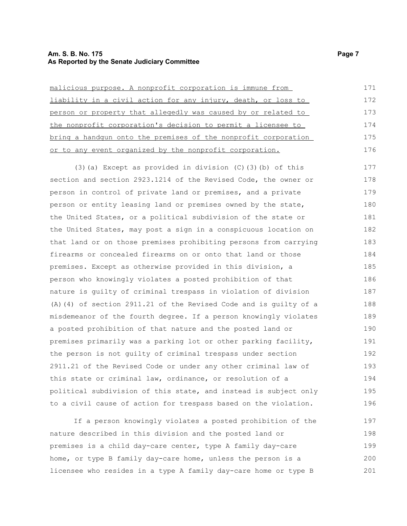#### **Am. S. B. No. 175 Page 7 As Reported by the Senate Judiciary Committee**

| malicious purpose. A nonprofit corporation is immune from      | 171 |
|----------------------------------------------------------------|-----|
| liability in a civil action for any injury, death, or loss to  | 172 |
| person or property that allegedly was caused by or related to  | 173 |
| the nonprofit corporation's decision to permit a licensee to   | 174 |
| bring a handqun onto the premises of the nonprofit corporation | 175 |
| or to any event organized by the nonprofit corporation.        | 176 |

(3)(a) Except as provided in division (C)(3)(b) of this section and section 2923.1214 of the Revised Code, the owner or person in control of private land or premises, and a private person or entity leasing land or premises owned by the state, the United States, or a political subdivision of the state or the United States, may post a sign in a conspicuous location on that land or on those premises prohibiting persons from carrying firearms or concealed firearms on or onto that land or those premises. Except as otherwise provided in this division, a person who knowingly violates a posted prohibition of that nature is guilty of criminal trespass in violation of division (A)(4) of section 2911.21 of the Revised Code and is guilty of a misdemeanor of the fourth degree. If a person knowingly violates a posted prohibition of that nature and the posted land or premises primarily was a parking lot or other parking facility, the person is not guilty of criminal trespass under section 2911.21 of the Revised Code or under any other criminal law of this state or criminal law, ordinance, or resolution of a political subdivision of this state, and instead is subject only to a civil cause of action for trespass based on the violation. 177 178 179 180 181 182 183 184 185 186 187 188 189 190 191 192 193 194 195 196

If a person knowingly violates a posted prohibition of the nature described in this division and the posted land or premises is a child day-care center, type A family day-care home, or type B family day-care home, unless the person is a licensee who resides in a type A family day-care home or type B 197 198 199 200 201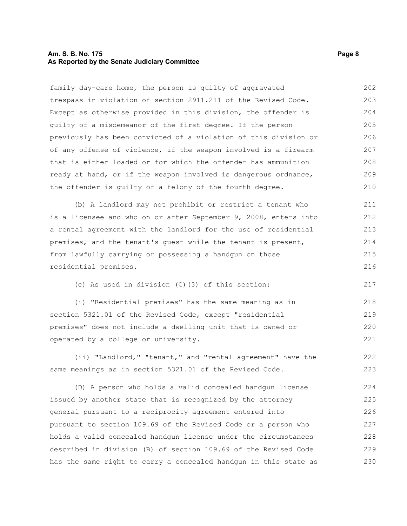#### **Am. S. B. No. 175 Page 8 As Reported by the Senate Judiciary Committee**

family day-care home, the person is guilty of aggravated trespass in violation of section 2911.211 of the Revised Code. Except as otherwise provided in this division, the offender is guilty of a misdemeanor of the first degree. If the person previously has been convicted of a violation of this division or of any offense of violence, if the weapon involved is a firearm that is either loaded or for which the offender has ammunition ready at hand, or if the weapon involved is dangerous ordnance, the offender is guilty of a felony of the fourth degree. 202 203 204 205 206 207 208 209 210

(b) A landlord may not prohibit or restrict a tenant who is a licensee and who on or after September 9, 2008, enters into a rental agreement with the landlord for the use of residential premises, and the tenant's guest while the tenant is present, from lawfully carrying or possessing a handgun on those residential premises. 211 212 213 214 215 216

(c) As used in division (C)(3) of this section:

(i) "Residential premises" has the same meaning as in section 5321.01 of the Revised Code, except "residential premises" does not include a dwelling unit that is owned or operated by a college or university. 218 219 220 221

(ii) "Landlord," "tenant," and "rental agreement" have the same meanings as in section 5321.01 of the Revised Code. 222 223

(D) A person who holds a valid concealed handgun license issued by another state that is recognized by the attorney general pursuant to a reciprocity agreement entered into pursuant to section 109.69 of the Revised Code or a person who holds a valid concealed handgun license under the circumstances described in division (B) of section 109.69 of the Revised Code has the same right to carry a concealed handgun in this state as 224 225 226 227 228 229 230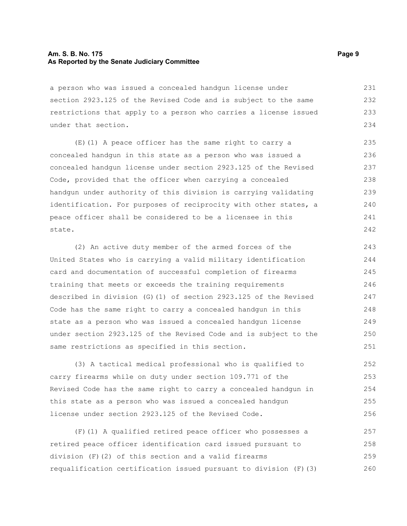#### **Am. S. B. No. 175 Page 9 As Reported by the Senate Judiciary Committee**

a person who was issued a concealed handgun license under section 2923.125 of the Revised Code and is subject to the same restrictions that apply to a person who carries a license issued under that section. 231 232 233 234

(E)(1) A peace officer has the same right to carry a concealed handgun in this state as a person who was issued a concealed handgun license under section 2923.125 of the Revised Code, provided that the officer when carrying a concealed handgun under authority of this division is carrying validating identification. For purposes of reciprocity with other states, a peace officer shall be considered to be a licensee in this state.

(2) An active duty member of the armed forces of the United States who is carrying a valid military identification card and documentation of successful completion of firearms training that meets or exceeds the training requirements described in division (G)(1) of section 2923.125 of the Revised Code has the same right to carry a concealed handgun in this state as a person who was issued a concealed handgun license under section 2923.125 of the Revised Code and is subject to the same restrictions as specified in this section. 243 244 245 246 247 248 249 250 251

(3) A tactical medical professional who is qualified to carry firearms while on duty under section 109.771 of the Revised Code has the same right to carry a concealed handgun in this state as a person who was issued a concealed handgun license under section 2923.125 of the Revised Code. 252 253 254 255 256

(F)(1) A qualified retired peace officer who possesses a retired peace officer identification card issued pursuant to division (F)(2) of this section and a valid firearms requalification certification issued pursuant to division (F)(3) 257 258 259 260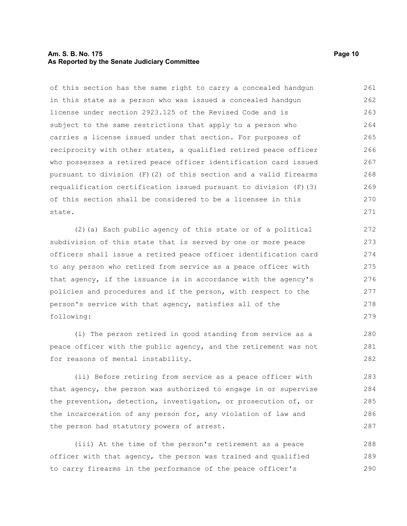#### **Am. S. B. No. 175 Page 10 As Reported by the Senate Judiciary Committee**

of this section has the same right to carry a concealed handgun in this state as a person who was issued a concealed handgun license under section 2923.125 of the Revised Code and is subject to the same restrictions that apply to a person who carries a license issued under that section. For purposes of reciprocity with other states, a qualified retired peace officer who possesses a retired peace officer identification card issued pursuant to division (F)(2) of this section and a valid firearms requalification certification issued pursuant to division  $(F)$  (3) of this section shall be considered to be a licensee in this state. 261 262 263 264 265 266 267 268 269 270 271

(2)(a) Each public agency of this state or of a political subdivision of this state that is served by one or more peace officers shall issue a retired peace officer identification card to any person who retired from service as a peace officer with that agency, if the issuance is in accordance with the agency's policies and procedures and if the person, with respect to the person's service with that agency, satisfies all of the following:

(i) The person retired in good standing from service as a peace officer with the public agency, and the retirement was not for reasons of mental instability.

(ii) Before retiring from service as a peace officer with that agency, the person was authorized to engage in or supervise the prevention, detection, investigation, or prosecution of, or the incarceration of any person for, any violation of law and the person had statutory powers of arrest.

(iii) At the time of the person's retirement as a peace officer with that agency, the person was trained and qualified to carry firearms in the performance of the peace officer's 288 289 290

280 281 282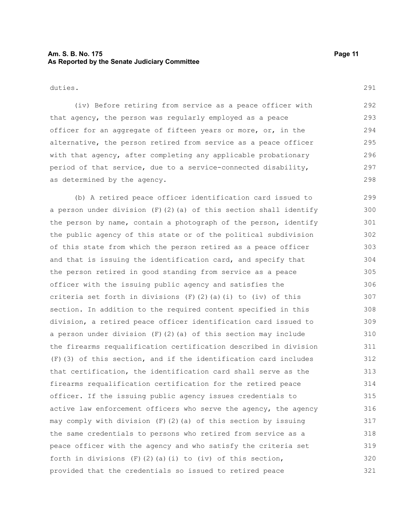#### **Am. S. B. No. 175 Page 11 As Reported by the Senate Judiciary Committee**

duties.

(iv) Before retiring from service as a peace officer with that agency, the person was regularly employed as a peace officer for an aggregate of fifteen years or more, or, in the alternative, the person retired from service as a peace officer with that agency, after completing any applicable probationary period of that service, due to a service-connected disability, as determined by the agency. 292 293 294 295 296 297 298

(b) A retired peace officer identification card issued to a person under division (F)(2)(a) of this section shall identify the person by name, contain a photograph of the person, identify the public agency of this state or of the political subdivision of this state from which the person retired as a peace officer and that is issuing the identification card, and specify that the person retired in good standing from service as a peace officer with the issuing public agency and satisfies the criteria set forth in divisions  $(F)$   $(2)$   $(a)$   $(i)$  to  $(iv)$  of this section. In addition to the required content specified in this division, a retired peace officer identification card issued to a person under division (F)(2)(a) of this section may include the firearms requalification certification described in division (F)(3) of this section, and if the identification card includes that certification, the identification card shall serve as the firearms requalification certification for the retired peace officer. If the issuing public agency issues credentials to active law enforcement officers who serve the agency, the agency may comply with division (F)(2)(a) of this section by issuing the same credentials to persons who retired from service as a peace officer with the agency and who satisfy the criteria set forth in divisions  $(F)$  (2)(a)(i) to (iv) of this section, provided that the credentials so issued to retired peace 299 300 301 302 303 304 305 306 307 308 309 310 311 312 313 314 315 316 317 318 319 320 321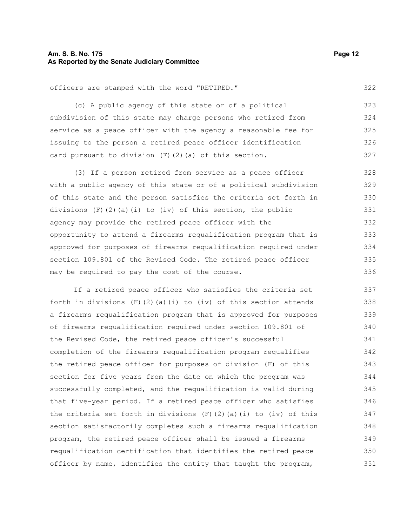#### **Am. S. B. No. 175 Page 12 As Reported by the Senate Judiciary Committee**

officers are stamped with the word "RETIRED."

(c) A public agency of this state or of a political subdivision of this state may charge persons who retired from service as a peace officer with the agency a reasonable fee for issuing to the person a retired peace officer identification card pursuant to division  $(F)$   $(2)$   $(a)$  of this section. 323 324 325 326 327

(3) If a person retired from service as a peace officer with a public agency of this state or of a political subdivision of this state and the person satisfies the criteria set forth in divisions  $(F)(2)(a)(i)$  to  $(iv)$  of this section, the public agency may provide the retired peace officer with the opportunity to attend a firearms requalification program that is approved for purposes of firearms requalification required under section 109.801 of the Revised Code. The retired peace officer may be required to pay the cost of the course. 328 329 330 331 332 333 334 335 336

If a retired peace officer who satisfies the criteria set forth in divisions  $(F)(2)(a)(i)$  to  $(iv)$  of this section attends a firearms requalification program that is approved for purposes of firearms requalification required under section 109.801 of the Revised Code, the retired peace officer's successful completion of the firearms requalification program requalifies the retired peace officer for purposes of division (F) of this section for five years from the date on which the program was successfully completed, and the requalification is valid during that five-year period. If a retired peace officer who satisfies the criteria set forth in divisions  $(F)(2)(a)(i)$  to  $(iv)$  of this section satisfactorily completes such a firearms requalification program, the retired peace officer shall be issued a firearms requalification certification that identifies the retired peace officer by name, identifies the entity that taught the program, 337 338 339 340 341 342 343 344 345 346 347 348 349 350 351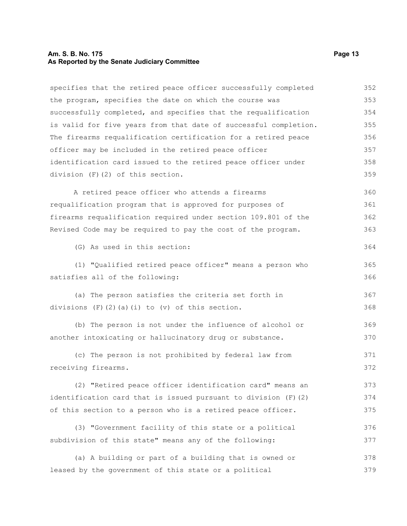## **Am. S. B. No. 175 Page 13 As Reported by the Senate Judiciary Committee**

| specifies that the retired peace officer successfully completed  | 352 |
|------------------------------------------------------------------|-----|
| the program, specifies the date on which the course was          | 353 |
| successfully completed, and specifies that the requalification   | 354 |
| is valid for five years from that date of successful completion. | 355 |
| The firearms requalification certification for a retired peace   | 356 |
| officer may be included in the retired peace officer             | 357 |
| identification card issued to the retired peace officer under    | 358 |
| division (F)(2) of this section.                                 | 359 |
| A retired peace officer who attends a firearms                   | 360 |
| requalification program that is approved for purposes of         | 361 |
| firearms requalification required under section 109.801 of the   | 362 |
| Revised Code may be required to pay the cost of the program.     | 363 |
| (G) As used in this section:                                     | 364 |
| (1) "Qualified retired peace officer" means a person who         | 365 |
| satisfies all of the following:                                  | 366 |
| (a) The person satisfies the criteria set forth in               | 367 |
| divisions $(F)$ $(2)$ $(a)$ $(i)$ to $(v)$ of this section.      | 368 |
| (b) The person is not under the influence of alcohol or          | 369 |
| another intoxicating or hallucinatory drug or substance.         | 370 |
| (c) The person is not prohibited by federal law from             | 371 |
| receiving firearms.                                              | 372 |
| (2) "Retired peace officer identification card" means an         | 373 |
| identification card that is issued pursuant to division (F) (2)  | 374 |
| of this section to a person who is a retired peace officer.      | 375 |
| (3) "Government facility of this state or a political            | 376 |
| subdivision of this state" means any of the following:           | 377 |
| (a) A building or part of a building that is owned or            | 378 |

leased by the government of this state or a political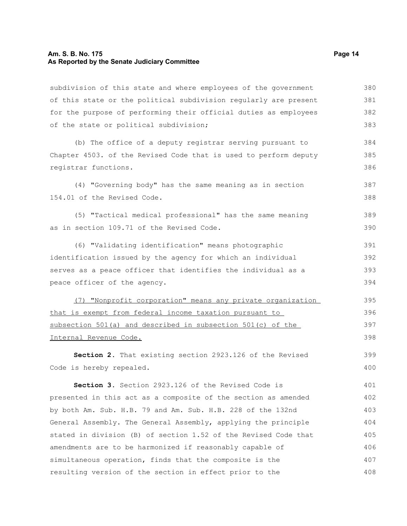#### **Am. S. B. No. 175 Page 14 As Reported by the Senate Judiciary Committee**

subdivision of this state and where employees of the government of this state or the political subdivision regularly are present for the purpose of performing their official duties as employees of the state or political subdivision; 380 381 382 383

(b) The office of a deputy registrar serving pursuant to Chapter 4503. of the Revised Code that is used to perform deputy registrar functions. 384 385 386

(4) "Governing body" has the same meaning as in section 154.01 of the Revised Code. 387 388

(5) "Tactical medical professional" has the same meaning as in section 109.71 of the Revised Code. 389 390

(6) "Validating identification" means photographic identification issued by the agency for which an individual serves as a peace officer that identifies the individual as a peace officer of the agency. 391 392 393 394

 (7) "Nonprofit corporation" means any private organization that is exempt from federal income taxation pursuant to subsection 501(a) and described in subsection 501(c) of the Internal Revenue Code. 395 396 397 398

**Section 2.** That existing section 2923.126 of the Revised Code is hereby repealed.

**Section 3.** Section 2923.126 of the Revised Code is presented in this act as a composite of the section as amended by both Am. Sub. H.B. 79 and Am. Sub. H.B. 228 of the 132nd General Assembly. The General Assembly, applying the principle stated in division (B) of section 1.52 of the Revised Code that amendments are to be harmonized if reasonably capable of simultaneous operation, finds that the composite is the resulting version of the section in effect prior to the 401 402 403 404 405 406 407 408